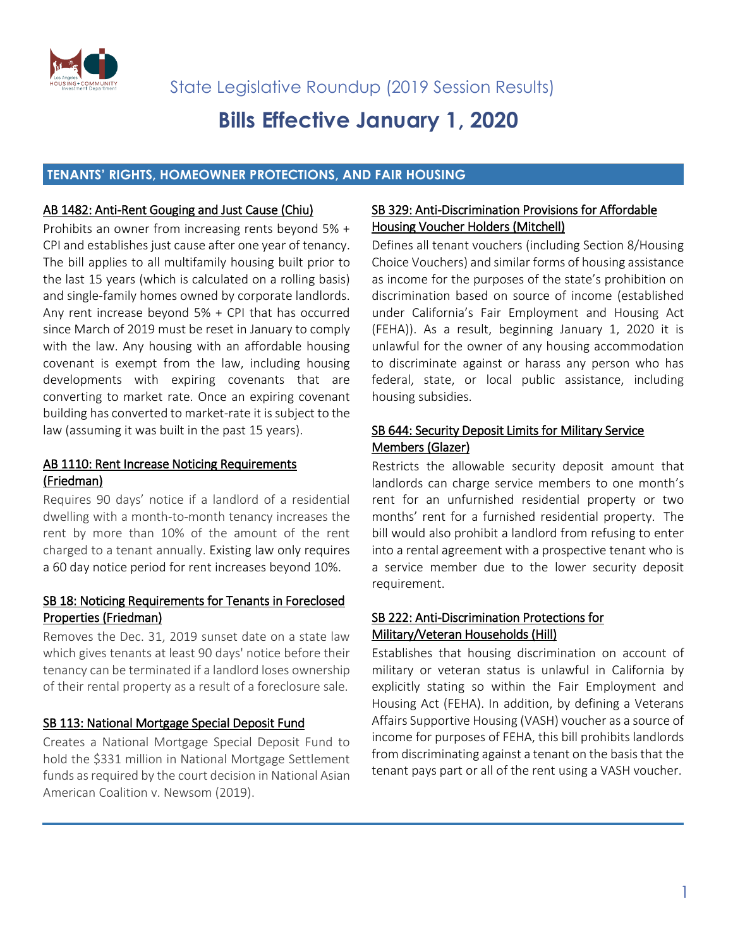

# **Bills Effective January 1, 2020**

## **TENANTS' RIGHTS, HOMEOWNER PROTECTIONS, AND FAIR HOUSING**

#### AB 1482: Anti-Rent Gouging and Just Cause (Chiu)

Prohibits an owner from increasing rents beyond 5% + CPI and establishes just cause after one year of tenancy. The bill applies to all multifamily housing built prior to the last 15 years (which is calculated on a rolling basis) and single-family homes owned by corporate landlords. Any rent increase beyond 5% + CPI that has occurred since March of 2019 must be reset in January to comply with the law. Any housing with an affordable housing covenant is exempt from the law, including housing developments with expiring covenants that are converting to market rate. Once an expiring covenant building has converted to market-rate it is subject to the law (assuming it was built in the past 15 years).

## AB 1110: Rent Increase Noticing Requirements (Friedman)

Requires 90 days' notice if a landlord of a residential dwelling with a month-to-month tenancy increases the rent by more than 10% of the amount of the rent charged to a tenant annually. Existing law only requires a 60 day notice period for rent increases beyond 10%.

# SB 18: Noticing Requirements for Tenants in Foreclosed Properties (Friedman)

Removes the Dec. 31, 2019 sunset date on a state law which gives tenants at least 90 days' notice before their tenancy can be terminated if a landlord loses ownership of their rental property as a result of a foreclosure sale.

## SB 113: National Mortgage Special Deposit Fund

Creates a National Mortgage Special Deposit Fund to hold the \$331 million in National Mortgage Settlement funds as required by the court decision in National Asian American Coalition v. Newsom (2019).

## SB 329: Anti-Discrimination Provisions for Affordable Housing Voucher Holders (Mitchell)

Defines all tenant vouchers (including Section 8/Housing Choice Vouchers) and similar forms of housing assistance as income for the purposes of the state's prohibition on discrimination based on source of income (established under California's Fair Employment and Housing Act (FEHA)). As a result, beginning January 1, 2020 it is unlawful for the owner of any housing accommodation to discriminate against or harass any person who has federal, state, or local public assistance, including housing subsidies.

# SB 644: Security Deposit Limits for Military Service Members (Glazer)

Restricts the allowable security deposit amount that landlords can charge service members to one month's rent for an unfurnished residential property or two months' rent for a furnished residential property. The bill would also prohibit a landlord from refusing to enter into a rental agreement with a prospective tenant who is a service member due to the lower security deposit requirement.

## SB 222: Anti-Discrimination Protections for Military/Veteran Households (Hill)

Establishes that housing discrimination on account of military or veteran status is unlawful in California by explicitly stating so within the Fair Employment and Housing Act (FEHA). In addition, by defining a Veterans Affairs Supportive Housing (VASH) voucher as a source of income for purposes of FEHA, this bill prohibits landlords from discriminating against a tenant on the basis that the tenant pays part or all of the rent using a VASH voucher.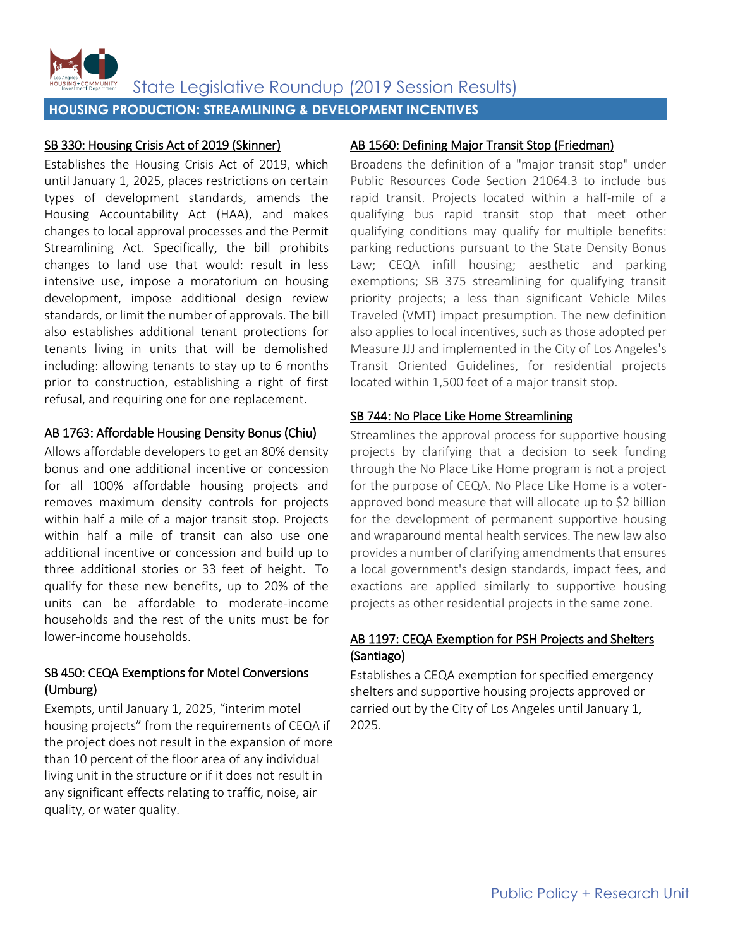

**HOUSING PRODUCTION: STREAMLINING & DEVELOPMENT INCENTIVES**

# SB 330: Housing Crisis Act of 2019 (Skinner)

Establishes the Housing Crisis Act of 2019, which until January 1, 2025, places restrictions on certain types of development standards, amends the Housing Accountability Act (HAA), and makes changes to local approval processes and the Permit Streamlining Act. Specifically, the bill prohibits changes to land use that would: result in less intensive use, impose a moratorium on housing development, impose additional design review standards, or limit the number of approvals. The bill also establishes additional tenant protections for tenants living in units that will be demolished including: allowing tenants to stay up to 6 months prior to construction, establishing a right of first refusal, and requiring one for one replacement.

## AB 1763: Affordable Housing Density Bonus (Chiu)

Allows affordable developers to get an 80% density bonus and one additional incentive or concession for all 100% affordable housing projects and removes maximum density controls for projects within half a mile of a major transit stop. Projects within half a mile of transit can also use one additional incentive or concession and build up to three additional stories or 33 feet of height. To qualify for these new benefits, up to 20% of the units can be affordable to moderate-income households and the rest of the units must be for lower-income households.

# SB 450: CEQA Exemptions for Motel Conversions (Umburg)

Exempts, until January 1, 2025, "interim motel housing projects" from the requirements of CEQA if the project does not result in the expansion of more than 10 percent of the floor area of any individual living unit in the structure or if it does not result in any significant effects relating to traffic, noise, air quality, or water quality.

# AB 1560: Defining Major Transit Stop (Friedman)

Broadens the definition of a "major transit stop" under Public Resources Code Section 21064.3 to include bus rapid transit. Projects located within a half-mile of a qualifying bus rapid transit stop that meet other qualifying conditions may qualify for multiple benefits: parking reductions pursuant to the State Density Bonus Law; CEQA infill housing; aesthetic and parking exemptions; SB 375 streamlining for qualifying transit priority projects; a less than significant Vehicle Miles Traveled (VMT) impact presumption. The new definition also applies to local incentives, such as those adopted per Measure JJJ and implemented in the City of Los Angeles's Transit Oriented Guidelines, for residential projects located within 1,500 feet of a major transit stop.

# SB 744: No Place Like Home Streamlining

Streamlines the approval process for supportive housing projects by clarifying that a decision to seek funding through the No Place Like Home program is not a project for the purpose of CEQA. No Place Like Home is a voterapproved bond measure that will allocate up to \$2 billion for the development of permanent supportive housing and wraparound mental health services. The new law also provides a number of clarifying amendments that ensures a local government's design standards, impact fees, and exactions are applied similarly to supportive housing projects as other residential projects in the same zone.

# AB 1197: CEQA Exemption for PSH Projects and Shelters (Santiago)

Establishes a CEQA exemption for specified emergency shelters and supportive housing projects approved or carried out by the City of Los Angeles until January 1, 2025.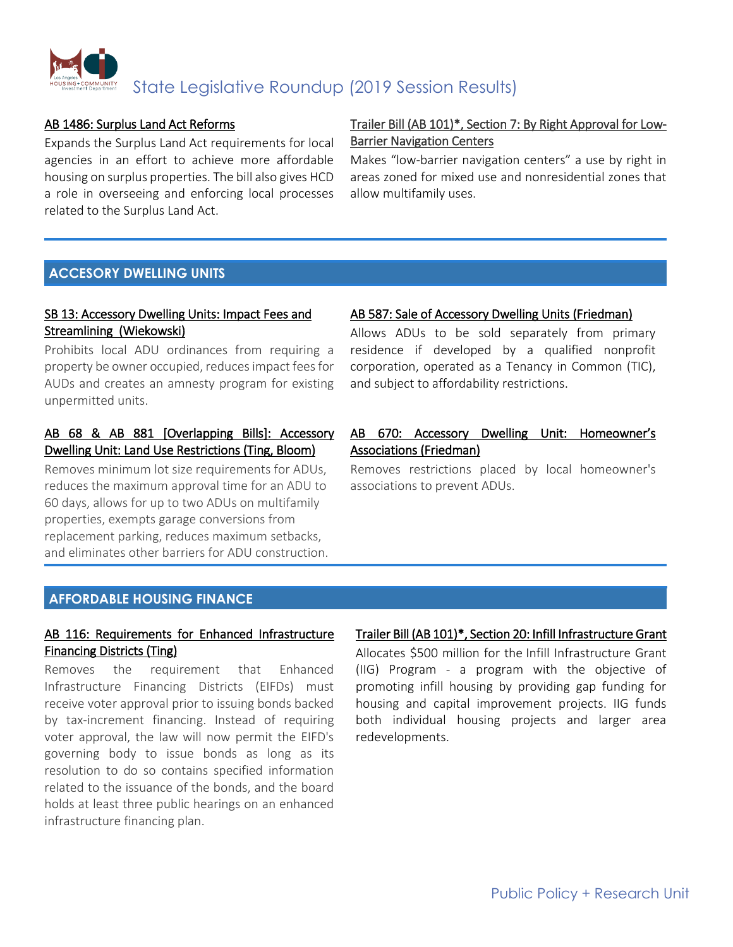

### AB 1486: Surplus Land Act Reforms

Expands the Surplus Land Act requirements for local agencies in an effort to achieve more affordable housing on surplus properties. The bill also gives HCD a role in overseeing and enforcing local processes related to the Surplus Land Act.

# Trailer Bill (AB 101)\*, Section 7: By Right Approval for Low-Barrier Navigation Centers

Makes "low-barrier navigation centers" a use by right in areas zoned for mixed use and nonresidential zones that allow multifamily uses.

# **ACCESORY DWELLING UNITS**

# SB 13: Accessory Dwelling Units: Impact Fees and Streamlining (Wiekowski)

Prohibits local ADU ordinances from requiring a property be owner occupied, reduces impact fees for AUDs and creates an amnesty program for existing unpermitted units.

# AB 68 & AB 881 [Overlapping Bills]: Accessory Dwelling Unit: Land Use Restrictions (Ting, Bloom)

Removes minimum lot size requirements for ADUs, reduces the maximum approval time for an ADU to 60 days, allows for up to two ADUs on multifamily properties, exempts garage conversions from replacement parking, reduces maximum setbacks, and eliminates other barriers for ADU construction.

#### AB 587: Sale of Accessory Dwelling Units (Friedman)

Allows ADUs to be sold separately from primary residence if developed by a qualified nonprofit corporation, operated as a Tenancy in Common (TIC), and subject to affordability restrictions.

# AB 670: Accessory Dwelling Unit: Homeowner's Associations (Friedman)

Removes restrictions placed by local homeowner's associations to prevent ADUs.

# **AFFORDABLE HOUSING FINANCE**

# AB 116: Requirements for Enhanced Infrastructure Financing Districts (Ting)

Removes the requirement that Enhanced Infrastructure Financing Districts (EIFDs) must receive voter approval prior to issuing bonds backed by tax-increment financing. Instead of requiring voter approval, the law will now permit the EIFD's governing body to issue bonds as long as its resolution to do so contains specified information related to the issuance of the bonds, and the board holds at least three public hearings on an enhanced infrastructure financing plan.

## Trailer Bill (AB 101)\*, Section 20: Infill Infrastructure Grant

Allocates \$500 million for the Infill Infrastructure Grant (IIG) Program - a program with the objective of promoting infill housing by providing gap funding for housing and capital improvement projects. IIG funds both individual housing projects and larger area redevelopments.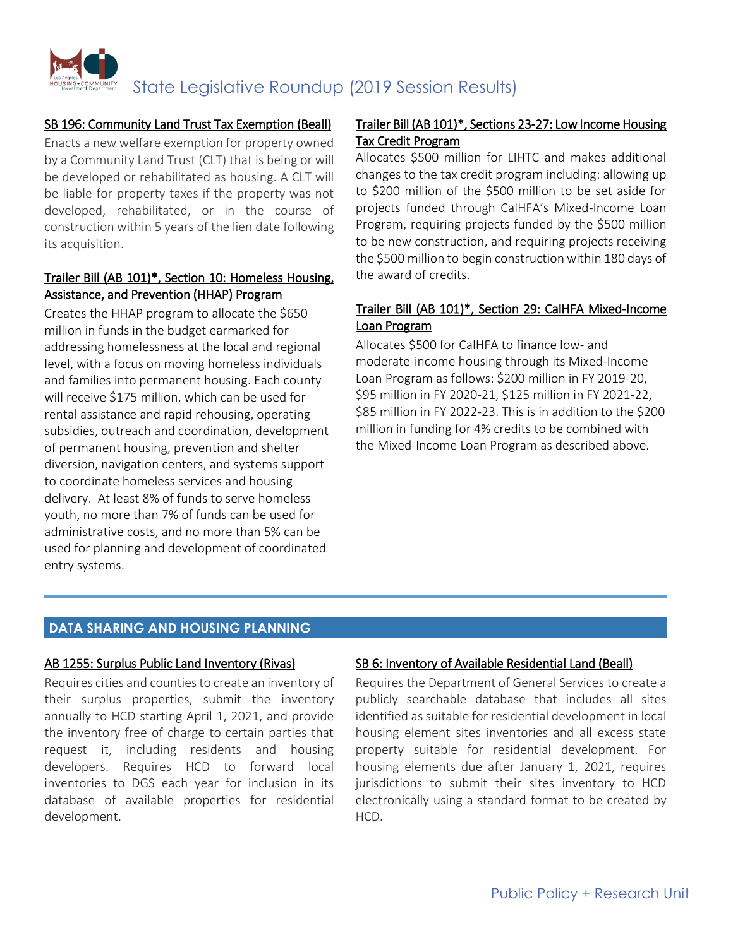

## SB 196: Community Land Trust Tax Exemption (Beall)

Enacts a new welfare exemption for property owned by a Community Land Trust (CLT) that is being or will be developed or rehabilitated as housing. A CLT will be liable for property taxes if the property was not developed, rehabilitated, or in the course of construction within 5 years of the lien date following its acquisition.

## Trailer Bill (AB 101)\*, Section 10: Homeless Housing, Assistance, and Prevention (HHAP) Program

Creates the HHAP program to allocate the \$650 million in funds in the budget earmarked for addressing homelessness at the local and regional level, with a focus on moving homeless individuals and families into permanent housing. Each county will receive \$175 million, which can be used for rental assistance and rapid rehousing, operating subsidies, outreach and coordination, development of permanent housing, prevention and shelter diversion, navigation centers, and systems support to coordinate homeless services and housing delivery. At least 8% of funds to serve homeless youth, no more than 7% of funds can be used for administrative costs, and no more than 5% can be used for planning and development of coordinated entry systems.

# Trailer Bill (AB 101)\*, Sections 23-27: Low Income Housing Tax Credit Program

Allocates \$500 million for LIHTC and makes additional changes to the tax credit program including: allowing up to \$200 million of the \$500 million to be set aside for projects funded through CalHFA's Mixed-Income Loan Program, requiring projects funded by the \$500 million to be new construction, and requiring projects receiving the \$500 million to begin construction within 180 days of the award of credits.

# Trailer Bill (AB 101)\*, Section 29: CalHFA Mixed-Income Loan Program

Allocates \$500 for CalHFA to finance low- and moderate-income housing through its Mixed-Income Loan Program as follows: \$200 million in FY 2019-20, \$95 million in FY 2020-21, \$125 million in FY 2021-22, \$85 million in FY 2022-23. This is in addition to the \$200 million in funding for 4% credits to be combined with the Mixed-Income Loan Program as described above.

## **DATA SHARING AND HOUSING PLANNING**

#### AB 1255: Surplus Public Land Inventory (Rivas)

Requires cities and counties to create an inventory of their surplus properties, submit the inventory annually to HCD starting April 1, 2021, and provide the inventory free of charge to certain parties that request it, including residents and housing developers. Requires HCD to forward local inventories to DGS each year for inclusion in its database of available properties for residential development.

## SB 6: Inventory of Available Residential Land (Beall)

Requires the Department of General Services to create a publicly searchable database that includes all sites identified as suitable for residential development in local housing element sites inventories and all excess state property suitable for residential development. For housing elements due after January 1, 2021, requires jurisdictions to submit their sites inventory to HCD electronically using a standard format to be created by HCD.